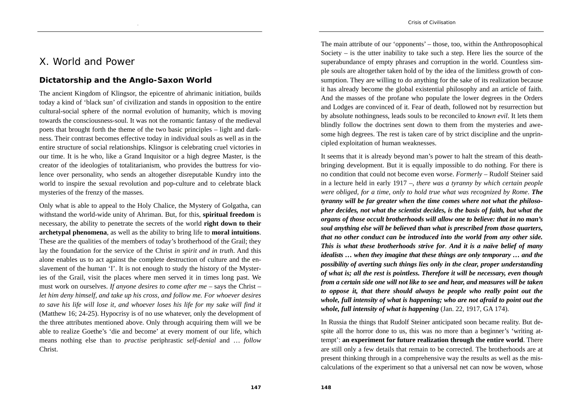## X. World and Power

## **Dictatorship and the Anglo-Saxon World**

The ancient Kingdom of Klingsor, the epicentre of ahrimanic initiation, builds today a kind of 'black sun' of civilization and stands in opposition to the entire cultural-social sphere of the normal evolution of humanity, which is moving towards the consciousness-soul. It was not the romantic fantasy of the medieval poets that brought forth the theme of the two basic principles – light and darkness. Their contrast becomes effective today in individual souls as well as in the entire structure of social relationships. Klingsor is celebrating cruel victories in our time. It is he who, like a Grand Inquisitor or a high degree Master, is the creator of the ideologies of totalitarianism, who provides the buttress for violence over personality, who sends an altogether disreputable Kundry into the world to inspire the sexual revolution and pop-culture and to celebrate black mysteries of the frenzy of the masses.

Only what is able to appeal to the Holy Chalice, the Mystery of Golgatha, can withstand the world-wide unity of Ahriman. But, for this, **spiritual freedom** is necessary, the ability to penetrate the secrets of the world **right down to their archetypal phenomena**, as well as the ability to bring life to **moral intuitions**. These are the qualities of the members of today's brotherhood of the Grail; they lay the foundation for the service of the Christ *in spirit and in truth*. And this alone enables us to act against the complete destruction of culture and the enslavement of the human 'I'. It is not enough to study the history of the Mysteries of the Grail, visit the places where men served it in times long past. We must work on ourselves. *If anyone desires to come after me* – says the Christ – *let him deny himself, and take up his cross, and follow me. For whoever desires to save his life will lose it, and whoever loses his life for my sake will find it*  (Matthew 16; 24-25). Hypocrisy is of no use whatever, only the development of the three attributes mentioned above. Only through acquiring them will we be able to realize Goethe's 'die and become' at every moment of our life, which means nothing else than to *practise* periphrastic *self-denial* and … *follow* Christ.

The main attribute of our 'opponents' – those, too, within the Anthroposophical Society – is the utter inability to take such a step. Here lies the source of the superabundance of empty phrases and corruption in the world. Countless simple souls are altogether taken hold of by the idea of the limitless growth of consumption. They are willing to do anything for the sake of its realization because it has already become the global existential philosophy and an article of faith. And the masses of the profane who populate the lower degrees in the Orders and Lodges are convinced of it. Fear of death, followed not by resurrection but by absolute nothingness, leads souls to be reconciled to *known evil*. It lets them blindly follow the doctrines sent down to them from the mysteries and awesome high degrees. The rest is taken care of by strict discipline and the unprincipled exploitation of human weaknesses.

It seems that it is already beyond man's power to halt the stream of this deathbringing development. But it is equally impossible to do nothing. For there is no condition that could not become even worse. *Formerly* – Rudolf Steiner said in a lecture held in early 1917 –, *there was a tyranny by which certain people were obliged, for a time, only to hold true what was recognized by Rome*. *The tyranny will be far greater when the time comes where not what the philosopher decides, not what the scientist decides, is the basis of faith, but what the organs of those occult brotherhoods will allow one to believe: that in no man's soul anything else will be believed than what is prescribed from those quarters, that no other conduct can be introduced into the world from any other side. This is what these brotherhoods strive for*. *And it is a naïve belief of many idealists … when they imagine that these things are only temporary … and the possibility of averting such things lies only in the clear, proper understanding of what is; all the rest is pointless. Therefore it will be necessary, even though from a certain side one will not like to see and hear, and measures will be taken to oppose it, that there should always be people who really point out the whole, full intensity of what is happening; who are not afraid to point out the whole, full intensity of what is happening* (Jan. 22, 1917, GA 174).

In Russia the things that Rudolf Steiner anticipated soon became reality. But despite all the horror done to us, this was no more than a beginner's 'writing attempt': **an experiment for future realization through the entire world**. There are still only a few details that remain to be corrected. The brotherhoods are at present thinking through in a comprehensive way the results as well as the miscalculations of the experiment so that a universal net can now be woven, whose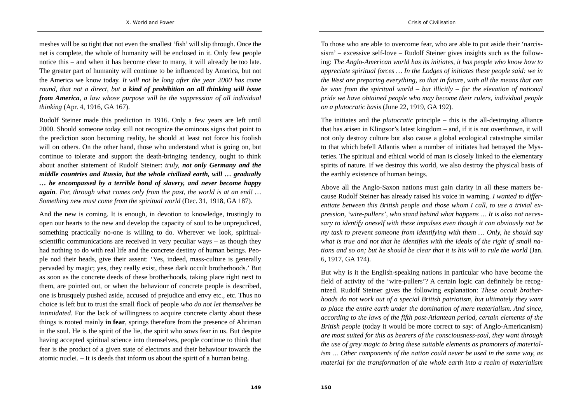meshes will be so tight that not even the smallest 'fish' will slip through. Once the net is complete, the whole of humanity will be enclosed in it. Only few people notice this – and when it has become clear to many, it will already be too late. The greater part of humanity will continue to be influenced by America, but not the America we know today. *It will not be long after the year 2000 has come round, that not a direct, but a kind of prohibition on all thinking will issue from America, a law whose purpose will be the suppression of all individual thinking* (Apr. 4, 1916, GA 167).

Rudolf Steiner made this prediction in 1916. Only a few years are left until 2000. Should someone today still not recognize the ominous signs that point to the prediction soon becoming reality, he should at least not force his foolish will on others. On the other hand, those who understand what is going on, but continue to tolerate and support the death-bringing tendency, ought to think about another statement of Rudolf Steiner: *truly, not only Germany and the middle countries and Russia, but the whole civilized earth, will … gradually … be encompassed by a terrible bond of slavery, and never become happy again. For, through what comes only from the past, the world is at an end! … Something new must come from the spiritual world* (Dec. 31, 1918, GA 187).

And the new is coming. It is enough, in devotion to knowledge, trustingly to open our hearts to the new and develop the capacity of soul to be unprejudiced, something practically no-one is willing to do. Wherever we look, spiritualscientific communications are received in very peculiar ways – as though they had nothing to do with real life and the concrete destiny of human beings. People nod their heads, give their assent: 'Yes, indeed, mass-culture is generally pervaded by magic; yes, they really exist, these dark occult brotherhoods.' But as soon as the concrete deeds of these brotherhoods, taking place right next to them, are pointed out, or when the behaviour of concrete people is described, one is brusquely pushed aside, accused of prejudice and envy etc., etc. Thus no choice is left but to trust the small flock of people *who do not let themselves be intimidated*. For the lack of willingness to acquire concrete clarity about these things is rooted mainly **in fear**, springs therefore from the presence of Ahriman in the soul. He is the spirit of the lie, the spirit who sows fear in us. But despite having accepted spiritual science into themselves, people continue to think that fear is the product of a given state of electrons and their behaviour towards the atomic nuclei. – It is deeds that inform us about the spirit of a human being.

To those who are able to overcome fear, who are able to put aside their 'narcissism' – excessive self-love – Rudolf Steiner gives insights such as the following: *The Anglo-American world has its initiates, it has people who know how to appreciate spiritual forces … In the Lodges of initiates these people said: we in the West are preparing everything, so that in future, with all the means that can be won from the spiritual world – but illicitly – for the elevation of national pride we have obtained people who may become their rulers, individual people on a plutocratic basis* (June 22, 1919, GA 192).

The initiates and the *plutocratic* principle – this is the all-destroying alliance that has arisen in Klingsor's latest kingdom – and, if it is not overthrown, it will not only destroy culture but also cause a global ecological catastrophe similar to that which befell Atlantis when a number of initiates had betrayed the Mysteries. The spiritual and ethical world of man is closely linked to the elementary spirits of nature. If we destroy this world, we also destroy the physical basis of the earthly existence of human beings.

Above all the Anglo-Saxon nations must gain clarity in all these matters because Rudolf Steiner has already raised his voice in warning. *I wanted to differentiate between this British people and those whom I call, to use a trivial expression, 'wire-pullers', who stand behind what happens … It is also not necessary to identify oneself with these impulses even though it can obviously not be my task to prevent someone from identifying with them … Only, he should say what is true and not that he identifies with the ideals of the right of small nations and so on; but he should be clear that it is his will to rule the world* (Jan. 6, 1917, GA 174).

But why is it the English-speaking nations in particular who have become the field of activity of the 'wire-pullers'? A certain logic can definitely be recognized. Rudolf Steiner gives the following explanation: *These occult brotherhoods do not work out of a special British patriotism, but ultimately they want to place the entire earth under the domination of mere materialism. And since, according to the laws of the fifth post-Atlantean period, certain elements of the British people* (today it would be more correct to say: of Anglo-Americanism) *are most suited for this as bearers of the consciousness-soul, they want through the use of grey magic to bring these suitable elements as promoters of materialism … Other components of the nation could never be used in the same way, as material for the transformation of the whole earth into a realm of materialism*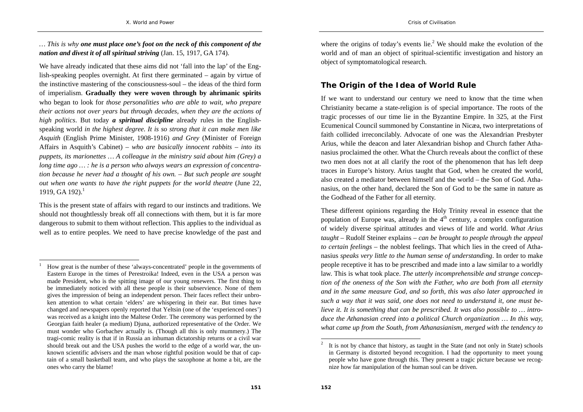*… This is why one must place one's foot on the neck of this component of the nation and divest it of all spiritual striving* (Jan. 15, 1917, GA 174).

We have already indicated that these aims did not 'fall into the lap' of the English-speaking peoples overnight. At first there germinated – again by virtue of the instinctive mastering of the consciousness-soul – the ideas of the third form of imperialism. **Gradually they were woven through by ahrimanic spirits** who began to look for *those personalities who are able to wait, who prepare their actions not over years but through decades, when they are the actions of high politics*. But today *a spiritual discipline* already rules in the Englishspeaking world *in the highest degree*. *It is so strong that it can make men like Asquith* (English Prime Minister, 1908-1916) *and Grey* (Minister of Foreign Affairs in Asquith's Cabinet) – *who are basically innocent rabbits – into its puppets, its marionettes … A colleague in the ministry said about him (Grey) a long time ago … : he is a person who always wears an expression of concentration because he never had a thought of his own. – But such people are sought out when one wants to have the right puppets for the world theatre (June 22,*  $\frac{1}{2}$ *)* 1919, GA 192).<sup>1</sup>

This is the present state of affairs with regard to our instincts and traditions. We should not thoughtlessly break off all connections with them, but it is far more dangerous to submit to them without reflection. This applies to the individual as well as to entire peoples. We need to have precise knowledge of the past and

where the origins of today's events lie.<sup>2</sup> We should make the evolution of the world and of man an object of spiritual-scientific investigation and history an object of symptomatological research.

## **The Origin of the Idea of World Rule**

If we want to understand our century we need to know that the time when Christianity became a state-religion is of special importance. The roots of the tragic processes of our time lie in the Byzantine Empire. In 325, at the First Ecumenical Council summoned by Constantine in Nicæa, two interpretations of faith collided irreconcilably. Advocate of one was the Alexandrian Presbyter Arius, while the deacon and later Alexandrian bishop and Church father Athanasius proclaimed the other. What the Church reveals about the conflict of these two men does not at all clarify the root of the phenomenon that has left deep traces in Europe's history. Arius taught that God, when he created the world, also created a mediator between himself and the world – the Son of God. Athanasius, on the other hand, declared the Son of God to be the same in nature as the Godhead of the Father for all eternity.

These different opinions regarding the Holy Trinity reveal in essence that the population of Europe was, already in the  $4<sup>th</sup>$  century, a complex configuration of widely diverse spiritual attitudes and views of life and world. *What Arius taught* – Rudolf Steiner explains – *can be brought to people through the appeal to certain feelings* – the noblest feelings. That which lies in the creed of Athanasius *speaks very little to the human sense of understanding*. In order to make people receptive it has to be prescribed and made into a law similar to a worldly law. This is what took place. *The utterly incomprehensible and strange conception of the oneness of the Son with the Father, who are both from all eternity and in the same measure God, and so forth, this was also later approached in such a way that it was said, one does not need to understand it, one must believe it. It is something that can be prescribed. It was also possible to … introduce the Athanasian creed into a political Church organization … In this way, what came up from the South, from Athanasianism, merged with the tendency to* 

<sup>1</sup> How great is the number of these 'always-concentrated' people in the governments of Eastern Europe in the times of Perestroika! Indeed, even in the USA a person was made President, who is the spitting image of our young renewers. The first thing to be immediately noticed with all these people is their subservience. None of them gives the impression of being an independent person. Their faces reflect their unbroken attention to what certain 'elders' are whispering in their ear. But times have changed and newspapers openly reported that Yeltsin (one of the 'experienced ones') was received as a knight into the Maltese Order. The ceremony was performed by the Georgian faith healer (a medium) Djuna, authorized representative of the Order. We must wonder who Gorbachev actually is. (Though all this is only mummery.) The tragi-comic reality is that if in Russia an inhuman dictatorship returns or a civil war should break out and the USA pushes the world to the edge of a world war, the unknown scientific advisers and the man whose rightful position would be that of captain of a small basketball team, and who plays the saxophone at home a bit, are the ones who carry the blame!

<sup>2</sup> It is not by chance that history, as taught in the State (and not only in State) schools in Germany is distorted beyond recognition. I had the opportunity to meet young people who have gone through this. They present a tragic picture because we recognize how far manipulation of the human soul can be driven.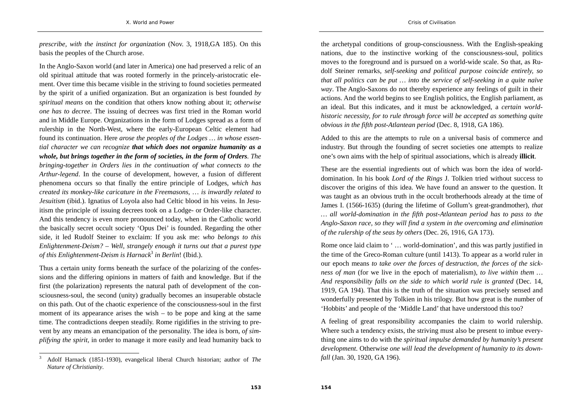*prescribe, with the instinct for organization* (Nov. 3, 1918,GA 185). On this basis the peoples of the Church arose.

In the Anglo-Saxon world (and later in America) one had preserved a relic of an old spiritual attitude that was rooted formerly in the princely-aristocratic element. Over time this became visible in the striving to found societies permeated by the spirit of a unified organization. But an organization is best founded *by spiritual means* on the condition that others know nothing about it; *otherwise one has to decree*. The issuing of decrees was first tried in the Roman world and in Middle Europe. Organizations in the form of Lodges spread as a form of rulership in the North-West, where the early-European Celtic element had found its continuation. Here *arose the peoples of the Lodges … in whose essential character we can recognize that which does not organize humanity as a whole, but brings together in the form of societies, in the form of Orders. The bringing-together in Orders lies in the continuation of what connects to the Arthur-legend*. In the course of development, however, a fusion of different phenomena occurs so that finally the entire principle of Lodges, *which has created its monkey-like caricature in the Freemasons*, … *is inwardly related to Jesuitism* (ibid.). Ignatius of Loyola also had Celtic blood in his veins. In Jesuitism the principle of issuing decrees took on a Lodge- or Order-like character. And this tendency is even more pronounced today, when in the Catholic world the basically secret occult society 'Opus Dei' is founded. Regarding the other side, it led Rudolf Steiner to exclaim: If you ask me: *who belongs to this Enlightenment-Deism? – Well, strangely enough it turns out that a purest type of this Enlightenment-Deism is Harnack*<sup>3</sup> *in Berlin*! (Ibid.).

Thus a certain unity forms beneath the surface of the polarizing of the confessions and the differing opinions in matters of faith and knowledge. But if the first (the polarization) represents the natural path of development of the consciousness-soul, the second (unity) gradually becomes an insuperable obstacle on this path. Out of the chaotic experience of the consciousness-soul in the first moment of its appearance arises the wish  $-$  to be pope and king at the same time. The contradictions deepen steadily. Rome rigidifies in the striving to prevent by any means an emancipation of the personality. The idea is born, *of simplifying the spirit,* in order to manage it more easily and lead humanity back to

the archetypal conditions of group-consciousness. With the English-speaking nations, due to the instinctive working of the consciousness-soul, politics moves to the foreground and is pursued on a world-wide scale. So that, as Rudolf Steiner remarks, *self-seeking and political purpose coincide entirely, so that all politics can be put … into the service of self-seeking in a quite naïve way*. The Anglo-Saxons do not thereby experience any feelings of guilt in their actions. And the world begins to see English politics, the English parliament, as an ideal. But this indicates, and it must be acknowledged, a *certain worldhistoric necessity, for to rule through force will be accepted as something quite obvious in the fifth post-Atlantean period* (Dec. 8, 1918, GA 186).

Added to this are the attempts to rule on a universal basis of commerce and industry. But through the founding of secret societies one attempts to realize one's own aims with the help of spiritual associations, which is already **illicit**.

These are the essential ingredients out of which was born the idea of worlddomination. In his book *Lord of the Rings* J. Tolkien tried without success to discover the origins of this idea. We have found an answer to the question. It was taught as an obvious truth in the occult brotherhoods already at the time of James I. (1566-1635) (during the lifetime of Gollum's great-grandmother), *that … all world-domination in the fifth post-Atlantean period has to pass to the Anglo-Saxon race, so they will find a system in the overcoming and elimination of the rulership of the seas by others* (Dec. 26, 1916, GA 173).

Rome once laid claim to ' … world-domination', and this was partly justified in the time of the Greco-Roman culture (until 1413). To appear as a world ruler in our epoch means *to take over the forces of destruction, the forces of the sickness of man* (for we live in the epoch of materialism), *to live within them … And responsibility falls on the side to which world rule is granted* (Dec. 14, 1919, GA 194). That this is the truth of the situation was precisely sensed and wonderfully presented by Tolkien in his trilogy. But how great is the number of 'Hobbits' and people of the 'Middle Land' that have understood this too?

A feeling of great responsibility accompanies the claim to world rulership. Where such a tendency exists, the striving must also be present to imbue everything one aims to do with the *spiritual impulse demanded by humanity's present development*. Otherwise *one will lead the development of humanity to its downfall* (Jan. 30, 1920, GA 196).

<sup>3</sup> Adolf Harnack (1851-1930), evangelical liberal Church historian; author of *The Nature of Christianity*.